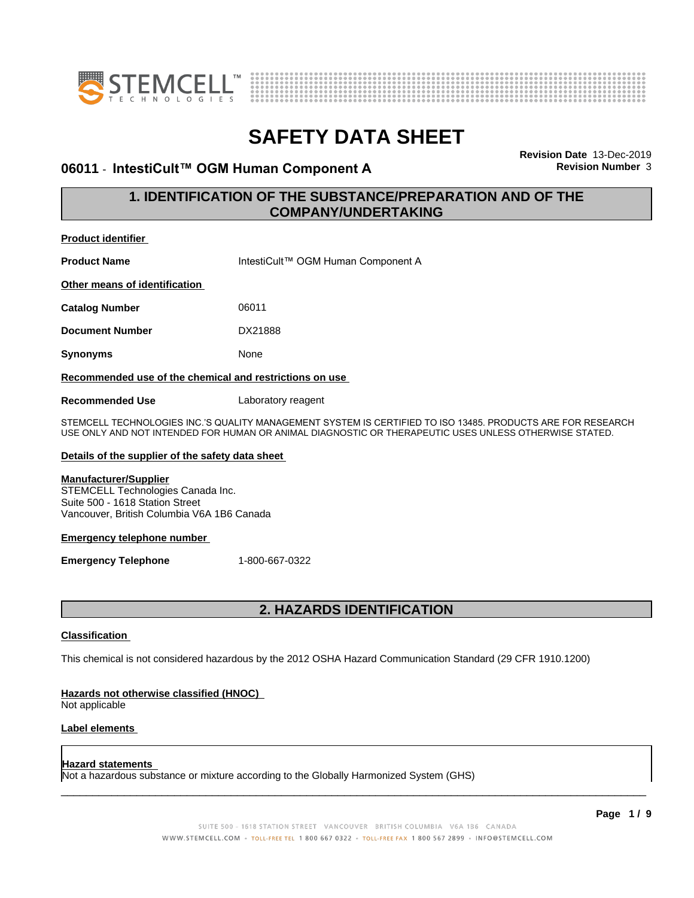



#### **06011 - IntestiCult™ OGM Human Component A** Revision Number 3

**Revision Date** 13-Dec-2019

### **1. IDENTIFICATION OF THE SUBSTANCE/PREPARATION AND OF THE COMPANY/UNDERTAKING**

| <b>Product identifier</b>                                                                                                                          |                                                                                                                                                                                                                      |
|----------------------------------------------------------------------------------------------------------------------------------------------------|----------------------------------------------------------------------------------------------------------------------------------------------------------------------------------------------------------------------|
| <b>Product Name</b>                                                                                                                                | IntestiCult™ OGM Human Component A                                                                                                                                                                                   |
| Other means of identification                                                                                                                      |                                                                                                                                                                                                                      |
| Catalog Number                                                                                                                                     | 06011                                                                                                                                                                                                                |
| <b>Document Number</b>                                                                                                                             | DX21888                                                                                                                                                                                                              |
| <b>Synonyms</b>                                                                                                                                    | None                                                                                                                                                                                                                 |
| Recommended use of the chemical and restrictions on use                                                                                            |                                                                                                                                                                                                                      |
| <b>Recommended Use</b>                                                                                                                             | Laboratory reagent                                                                                                                                                                                                   |
|                                                                                                                                                    | STEMCELL TECHNOLOGIES INC.'S QUALITY MANAGEMENT SYSTEM IS CERTIFIED TO ISO 13485. PRODUCTS ARE FOR RESEARCH<br>USE ONLY AND NOT INTENDED FOR HUMAN OR ANIMAL DIAGNOSTIC OR THERAPEUTIC USES UNLESS OTHERWISE STATED. |
| Details of the supplier of the safety data sheet                                                                                                   |                                                                                                                                                                                                                      |
| <b>Manufacturer/Supplier</b><br>STEMCELL Technologies Canada Inc.<br>Suite 500 - 1618 Station Street<br>Vancouver, British Columbia V6A 1B6 Canada |                                                                                                                                                                                                                      |
| <b>Emergency telephone number</b>                                                                                                                  |                                                                                                                                                                                                                      |
| <b>Emergency Telephone</b>                                                                                                                         | 1-800-667-0322                                                                                                                                                                                                       |
|                                                                                                                                                    |                                                                                                                                                                                                                      |

### **2. HAZARDS IDENTIFICATION**

#### **Classification**

This chemical is not considered hazardous by the 2012 OSHA Hazard Communication Standard (29 CFR 1910.1200)

#### **Hazards not otherwise classified (HNOC)**

Not applicable

#### **Label elements**

#### **Hazard statements**

Not a hazardous substance or mixture according to the Globally Harmonized System (GHS)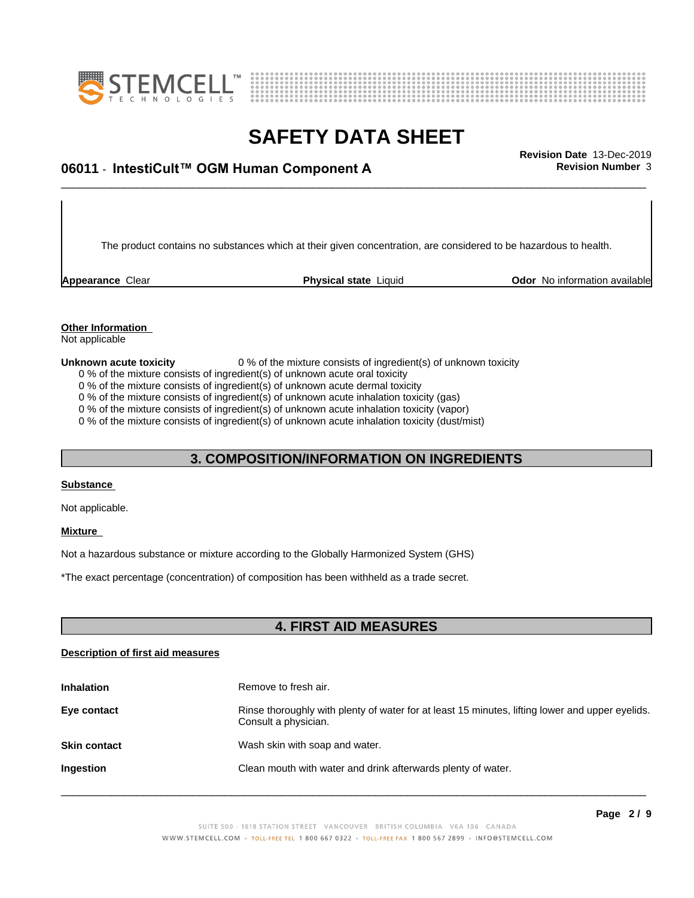



### \_\_\_\_\_\_\_\_\_\_\_\_\_\_\_\_\_\_\_\_\_\_\_\_\_\_\_\_\_\_\_\_\_\_\_\_\_\_\_\_\_\_\_\_\_\_\_\_\_\_\_\_\_\_\_\_\_\_\_\_\_\_\_\_\_\_\_\_\_\_\_\_\_\_\_\_\_\_\_\_\_\_\_\_\_\_\_\_\_\_\_\_\_ **Revision Date** 13-Dec-2019 **06011 · IntestiCult™ OGM Human Component A Revision Number** 3

The product contains no substances which at their given concentration, are considered to be hazardous to health.

**Appearance** Clear **Physical state** Liquid **Odor No information available Appearance** Clear

### **Other Information**

Not applicable

#### **Unknown acute toxicity** 0 % of the mixture consists of ingredient(s) of unknown toxicity

0 % of the mixture consists of ingredient(s) of unknown acute oral toxicity

0 % of the mixture consists of ingredient(s) of unknown acute dermal toxicity

0 % of the mixture consists of ingredient(s) of unknown acute inhalation toxicity (gas)

0 % of the mixture consists of ingredient(s) of unknown acute inhalation toxicity (vapor)

0 % of the mixture consists of ingredient(s) of unknown acute inhalation toxicity (dust/mist)

#### **3. COMPOSITION/INFORMATION ON INGREDIENTS**

#### **Substance**

Not applicable.

#### **Mixture**

Not a hazardous substance or mixture according to the Globally Harmonized System (GHS)

\*The exact percentage (concentration) ofcomposition has been withheld as a trade secret.

#### **4. FIRST AID MEASURES**

#### **Description of first aid measures**

| <b>Inhalation</b>   | Remove to fresh air.                                                                                                    |
|---------------------|-------------------------------------------------------------------------------------------------------------------------|
| Eye contact         | Rinse thoroughly with plenty of water for at least 15 minutes, lifting lower and upper eyelids.<br>Consult a physician. |
| <b>Skin contact</b> | Wash skin with soap and water.                                                                                          |
| Ingestion           | Clean mouth with water and drink afterwards plenty of water.                                                            |
|                     |                                                                                                                         |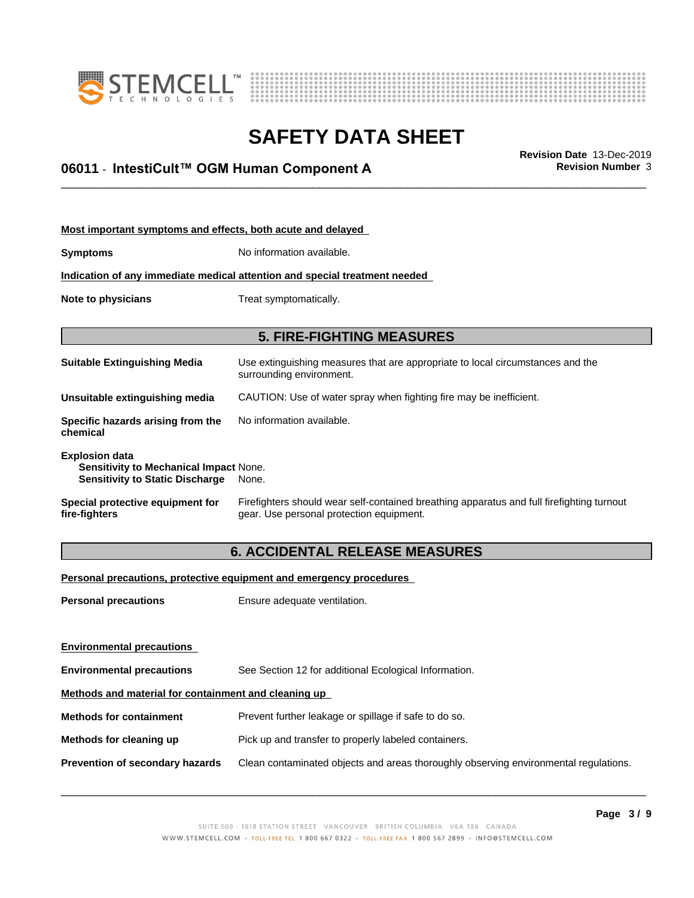



### \_\_\_\_\_\_\_\_\_\_\_\_\_\_\_\_\_\_\_\_\_\_\_\_\_\_\_\_\_\_\_\_\_\_\_\_\_\_\_\_\_\_\_\_\_\_\_\_\_\_\_\_\_\_\_\_\_\_\_\_\_\_\_\_\_\_\_\_\_\_\_\_\_\_\_\_\_\_\_\_\_\_\_\_\_\_\_\_\_\_\_\_\_ **Revision Date** 13-Dec-2019 **06011 · IntestiCult™ OGM Human Component A Revision Number** 3

| Most important symptoms and effects, both acute and delayed                                               |                                                                                                                                       |  |
|-----------------------------------------------------------------------------------------------------------|---------------------------------------------------------------------------------------------------------------------------------------|--|
| Symptoms                                                                                                  | No information available.                                                                                                             |  |
|                                                                                                           | Indication of any immediate medical attention and special treatment needed                                                            |  |
| Note to physicians                                                                                        | Treat symptomatically.                                                                                                                |  |
|                                                                                                           | <b>5. FIRE-FIGHTING MEASURES</b>                                                                                                      |  |
| <b>Suitable Extinguishing Media</b>                                                                       | Use extinguishing measures that are appropriate to local circumstances and the<br>surrounding environment.                            |  |
| Unsuitable extinguishing media                                                                            | CAUTION: Use of water spray when fighting fire may be inefficient.                                                                    |  |
| Specific hazards arising from the<br>chemical                                                             | No information available.                                                                                                             |  |
| <b>Explosion data</b><br>Sensitivity to Mechanical Impact None.<br><b>Sensitivity to Static Discharge</b> | None.                                                                                                                                 |  |
| Special protective equipment for<br>fire-fighters                                                         | Firefighters should wear self-contained breathing apparatus and full firefighting turnout<br>gear. Use personal protection equipment. |  |
|                                                                                                           | <b>6. ACCIDENTAL RELEASE MEASURES</b>                                                                                                 |  |

**Personal precautions, protective equipment and emergency procedures**

**Personal precautions** Ensure adequate ventilation.

| <b>Environmental precautions</b>                     |                                                                                      |  |  |
|------------------------------------------------------|--------------------------------------------------------------------------------------|--|--|
| <b>Environmental precautions</b>                     | See Section 12 for additional Ecological Information.                                |  |  |
| Methods and material for containment and cleaning up |                                                                                      |  |  |
| <b>Methods for containment</b>                       | Prevent further leakage or spillage if safe to do so.                                |  |  |
| Methods for cleaning up                              | Pick up and transfer to properly labeled containers.                                 |  |  |
| <b>Prevention of secondary hazards</b>               | Clean contaminated objects and areas thoroughly observing environmental regulations. |  |  |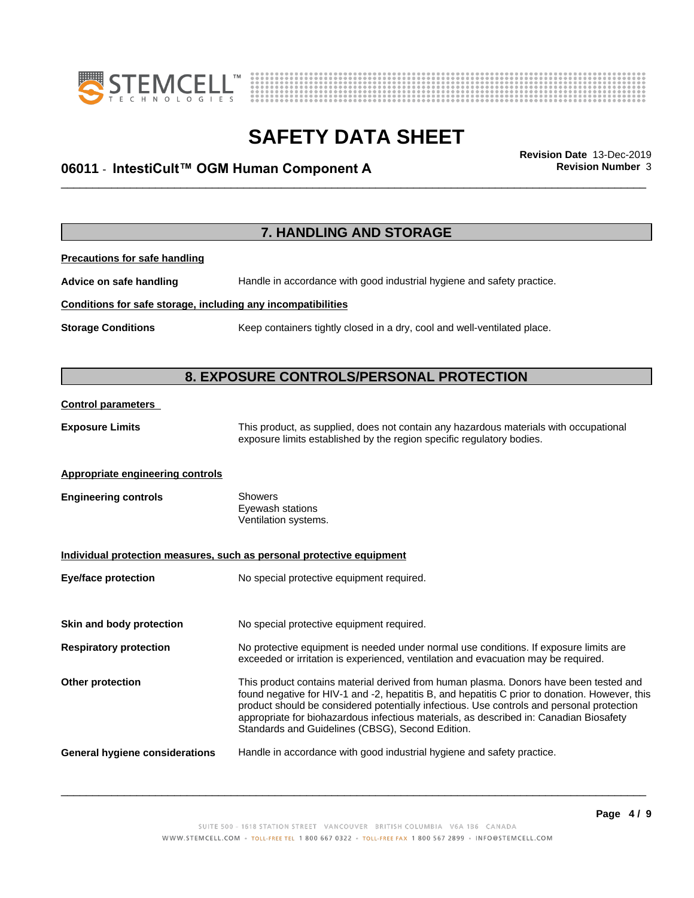



### \_\_\_\_\_\_\_\_\_\_\_\_\_\_\_\_\_\_\_\_\_\_\_\_\_\_\_\_\_\_\_\_\_\_\_\_\_\_\_\_\_\_\_\_\_\_\_\_\_\_\_\_\_\_\_\_\_\_\_\_\_\_\_\_\_\_\_\_\_\_\_\_\_\_\_\_\_\_\_\_\_\_\_\_\_\_\_\_\_\_\_\_\_ **Revision Date** 13-Dec-2019 **06011 · IntestiCult™ OGM Human Component A Revision Number** 3

**7. HANDLING AND STORAGE Precautions for safe handling Advice on safe handling** Handle in accordance with good industrial hygiene and safety practice. **Conditions for safe storage, including any incompatibilities Storage Conditions** Keep containers tightly closed in a dry, cool and well-ventilated place. **8. EXPOSURE CONTROLS/PERSONAL PROTECTION Control parameters Exposure Limits** This product, as supplied, does not contain any hazardous materials with occupational exposure limits established by the region specific regulatory bodies. **Appropriate engineering controls Engineering controls** Showers Eyewash stations Ventilation systems. **Individual protection measures, such as personal protective equipment Eye/face protection** No special protective equipment required. **Skin and body protection** No special protective equipment required. **Respiratory protection** No protective equipment is needed under normal use conditions. If exposure limits are exceeded or irritation is experienced, ventilation and evacuation may be required. **Other protection** This product contains material derived from human plasma. Donors have been tested and found negative for HIV-1 and -2, hepatitis B, and hepatitis C prior to donation. However, this product should be considered potentially infectious. Use controls and personal protection appropriate for biohazardous infectious materials, as described in: Canadian Biosafety Standards and Guidelines (CBSG), Second Edition. **General hygiene considerations** Handle in accordance with good industrial hygiene and safety practice.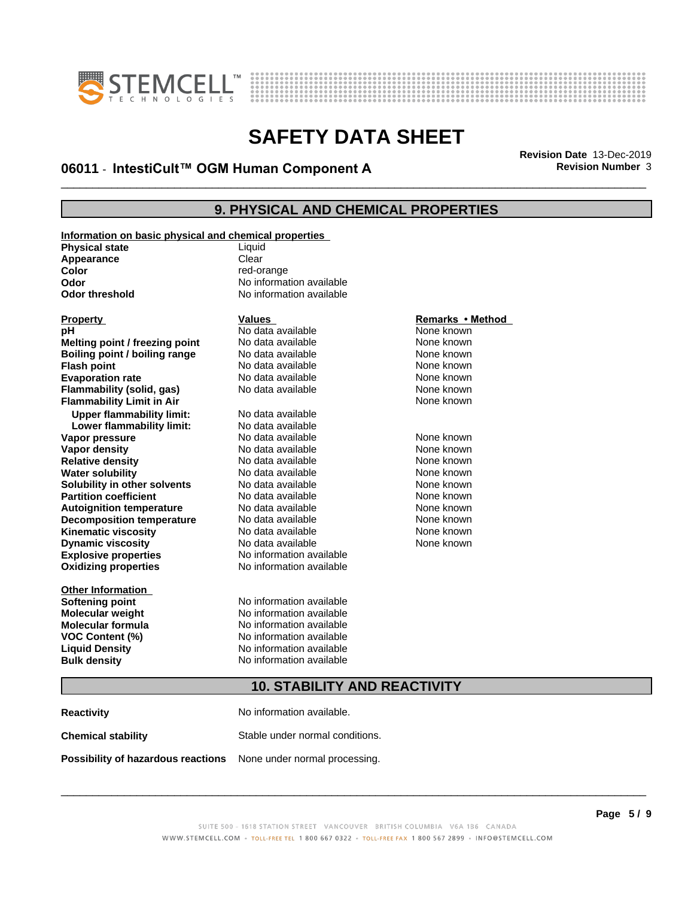



### \_\_\_\_\_\_\_\_\_\_\_\_\_\_\_\_\_\_\_\_\_\_\_\_\_\_\_\_\_\_\_\_\_\_\_\_\_\_\_\_\_\_\_\_\_\_\_\_\_\_\_\_\_\_\_\_\_\_\_\_\_\_\_\_\_\_\_\_\_\_\_\_\_\_\_\_\_\_\_\_\_\_\_\_\_\_\_\_\_\_\_\_\_ **Revision Date** 13-Dec-2019 **06011 · IntestiCult™ OGM Human Component A Revision Number** 3

#### **9. PHYSICAL AND CHEMICAL PROPERTIES**

**Information on basic physical and chemical properties**

| <b>Physical state</b> | Liauid                   |
|-----------------------|--------------------------|
| Appearance            | Clear                    |
| Color                 | red-orange               |
| Odor                  | No information available |
| Odor threshold        | No information available |

**Explosive properties**<br> **Oxidizing properties**<br>
No information available **Oxidizing properties Property Calles Values Values**<br> **Property Remarks • Method**<br> **PRICION CONTRACTE INTERET ACCOUNT ACCOUNT ACCOUNT ACCOUNT ACCOUNT ACCOUNT ACCOUNT ACCOUNT ACCOUNT ACCOUNT ACCOUNT ACCOUNT ACCOUNT ACCOUNT ACCOUNT ACCOUNT ACC Melting point / freezing point** No data available None known<br> **Boiling point / boiling range** No data available None known **Boiling point / boiling range** No data available None known<br> **Flash point None known**<br>
No data available None known **Flash point** No data available **Evaporation rate** *rate* No data available **None known Flammability (solid, gas)** No data available None known **Flammability Limit in Air None known None known Upper flammability limit:** No data available **Lower flammability limit:** No data available **Vapor pressure** 1980 in the Modata available 1980 in the None known<br> **Vapor density** 1980 in the None Known None known in the None known None known **Vapor density No data available and the Choice of Choice Algebra 2016** None known<br> **Relative density No data available None known Relative density Water solubility No data available None known Solubility in other solvents** No data available None known **Partition coefficient**<br> **Autoignition temperature**<br>
No data available None Known<br>
None known **Autoignition temperature** Mo data available Mone known<br> **Decomposition temperature** No data available None known **Decomposition temperature** No data available None known<br> **Kinematic viscosity** No data available None known **Kinematic viscosity** No data available<br> **Dynamic viscosity** No data available **Dynamic** viscosity

**Other Information**

# **Ition available** *available*

**PH** No data available **None known**<br>
No data available None known

**Softening point** No information available **Molecular weight** No information available **Molecular formula** No information available **VOC Content (%)** No information available **Liquid Density** No information available **Bulk density** No information available

None known

#### **10. STABILITY AND REACTIVITY**

| <b>Reactivity</b>                                                       | No information available.       |
|-------------------------------------------------------------------------|---------------------------------|
| <b>Chemical stability</b>                                               | Stable under normal conditions. |
| <b>Possibility of hazardous reactions</b> None under normal processing. |                                 |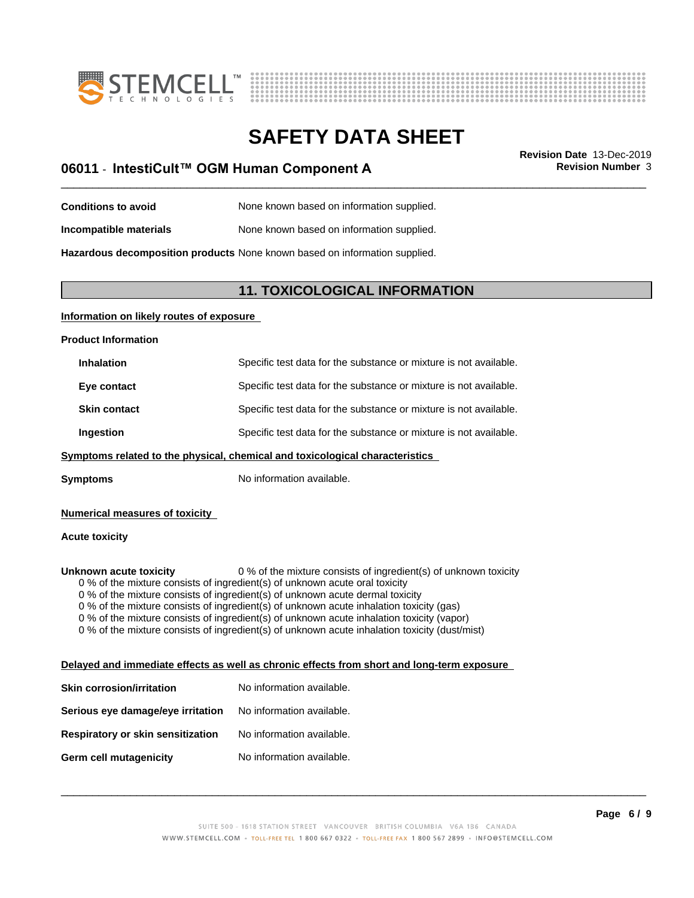



### \_\_\_\_\_\_\_\_\_\_\_\_\_\_\_\_\_\_\_\_\_\_\_\_\_\_\_\_\_\_\_\_\_\_\_\_\_\_\_\_\_\_\_\_\_\_\_\_\_\_\_\_\_\_\_\_\_\_\_\_\_\_\_\_\_\_\_\_\_\_\_\_\_\_\_\_\_\_\_\_\_\_\_\_\_\_\_\_\_\_\_\_\_ **Revision Date** 13-Dec-2019 **06011 · IntestiCult™ OGM Human Component A Revision Number** 3

**Conditions to avoid** None known based on information supplied.

**Incompatible materials** None known based on information supplied.

**Hazardous decomposition products** None known based on information supplied.

#### **11. TOXICOLOGICAL INFORMATION**

#### **Information on likely routes of exposure**

**Product Information**

| <b>Inhalation</b>   | Specific test data for the substance or mixture is not available. |
|---------------------|-------------------------------------------------------------------|
| Eye contact         | Specific test data for the substance or mixture is not available. |
| <b>Skin contact</b> | Specific test data for the substance or mixture is not available. |
| Ingestion           | Specific test data for the substance or mixture is not available. |

#### **<u>Symptoms related to the physical, chemical and toxicological characteristics</u>**

**Symptoms** No information available.

#### **Numerical measures of toxicity**

#### **Acute toxicity**

**Unknown acute toxicity** 0 % of the mixture consists of ingredient(s) of unknown toxicity

0 % of the mixture consists of ingredient(s) of unknown acute oral toxicity

0 % of the mixture consists of ingredient(s) of unknown acute dermal toxicity

0 % of the mixture consists of ingredient(s) of unknown acute inhalation toxicity (gas)

0 % of the mixture consists of ingredient(s) of unknown acute inhalation toxicity (vapor)

0 % of the mixture consists of ingredient(s) of unknown acute inhalation toxicity (dust/mist)

#### **Delayed and immediate effects as well as chronic effects from short and long-term exposure**

| Skin corrosion/irritation         | No information available. |
|-----------------------------------|---------------------------|
| Serious eye damage/eye irritation | No information available. |
| Respiratory or skin sensitization | No information available. |
| Germ cell mutagenicity            | No information available. |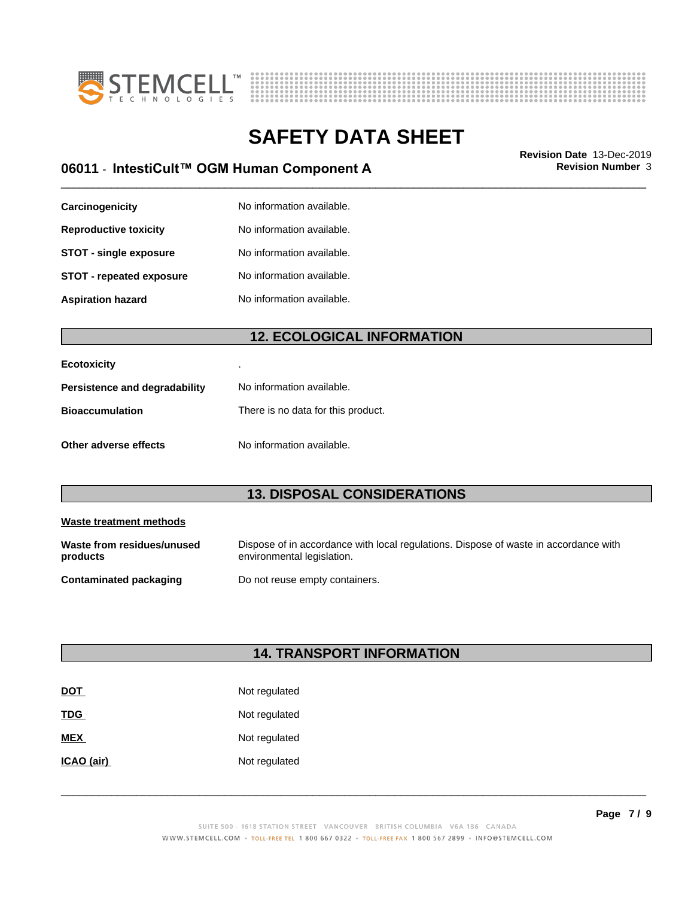



### \_\_\_\_\_\_\_\_\_\_\_\_\_\_\_\_\_\_\_\_\_\_\_\_\_\_\_\_\_\_\_\_\_\_\_\_\_\_\_\_\_\_\_\_\_\_\_\_\_\_\_\_\_\_\_\_\_\_\_\_\_\_\_\_\_\_\_\_\_\_\_\_\_\_\_\_\_\_\_\_\_\_\_\_\_\_\_\_\_\_\_\_\_ **Revision Date** 13-Dec-2019 **06011 · IntestiCult™ OGM Human Component A Revision Number** 3

| Carcinogenicity                 | No information available. |
|---------------------------------|---------------------------|
| <b>Reproductive toxicity</b>    | No information available. |
| <b>STOT - single exposure</b>   | No information available. |
| <b>STOT - repeated exposure</b> | No information available. |
| <b>Aspiration hazard</b>        | No information available. |

### **12. ECOLOGICAL INFORMATION**

| <b>Ecotoxicity</b>            | ٠                                  |
|-------------------------------|------------------------------------|
| Persistence and degradability | No information available.          |
| <b>Bioaccumulation</b>        | There is no data for this product. |
| Other adverse effects         | No information available.          |

### **13. DISPOSAL CONSIDERATIONS**

| Waste treatment methods                |                                                                                                                    |
|----------------------------------------|--------------------------------------------------------------------------------------------------------------------|
| Waste from residues/unused<br>products | Dispose of in accordance with local regulations. Dispose of waste in accordance with<br>environmental legislation. |
| <b>Contaminated packaging</b>          | Do not reuse empty containers.                                                                                     |

### **14. TRANSPORT INFORMATION**

| <b>DOT</b> | Not regulated |
|------------|---------------|
| <b>TDG</b> | Not regulated |
| <b>MEX</b> | Not regulated |
| ICAO (air) | Not regulated |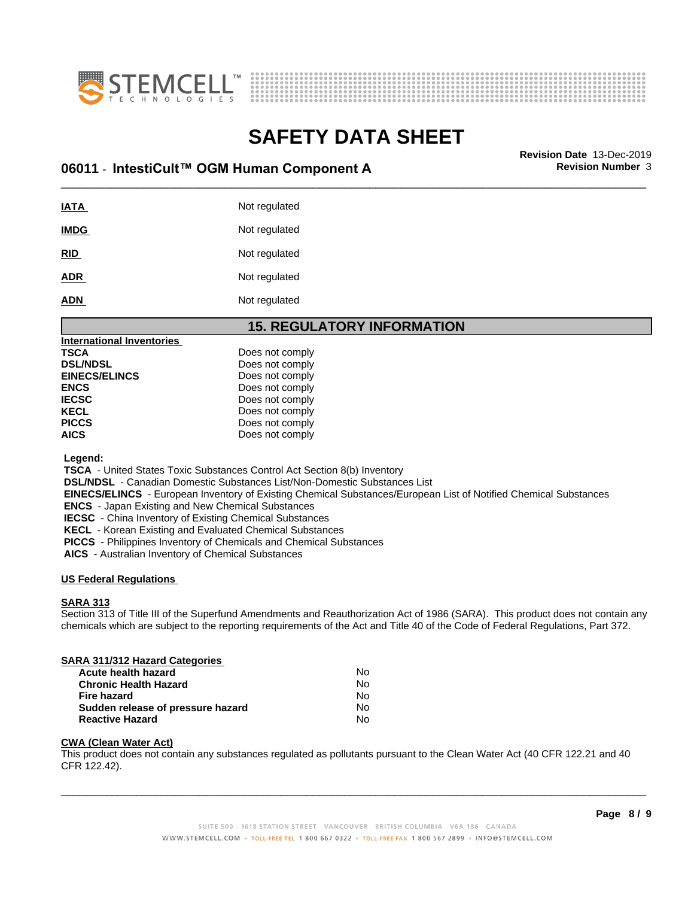



# **SAFETY DATA SHEET**<br>Revision Date 13-Dec-2019

### \_\_\_\_\_\_\_\_\_\_\_\_\_\_\_\_\_\_\_\_\_\_\_\_\_\_\_\_\_\_\_\_\_\_\_\_\_\_\_\_\_\_\_\_\_\_\_\_\_\_\_\_\_\_\_\_\_\_\_\_\_\_\_\_\_\_\_\_\_\_\_\_\_\_\_\_\_\_\_\_\_\_\_\_\_\_\_\_\_\_\_\_\_ **Revision Date** 13-Dec-2019 **06011 · IntestiCult™ OGM Human Component A Revision Number** 3

| <b>IATA</b> | Not regulated |
|-------------|---------------|
| <b>IMDG</b> | Not regulated |
| RID         | Not regulated |
| <b>ADR</b>  | Not regulated |
| <b>ADN</b>  | Not regulated |

#### **15. REGULATORY INFORMATION**

| <b>International Inventories</b> |                 |  |
|----------------------------------|-----------------|--|
| TSCA                             | Does not comply |  |
| <b>DSL/NDSL</b>                  | Does not comply |  |
| <b>EINECS/ELINCS</b>             | Does not comply |  |
| <b>ENCS</b>                      | Does not comply |  |
| <b>IECSC</b>                     | Does not comply |  |
| KECL                             | Does not comply |  |
| <b>PICCS</b>                     | Does not comply |  |
| <b>AICS</b>                      | Does not comply |  |
|                                  |                 |  |

 **Legend:**

 **TSCA** - United States Toxic Substances Control Act Section 8(b) Inventory

 **DSL/NDSL** - Canadian Domestic Substances List/Non-Domestic Substances List

 **EINECS/ELINCS** - European Inventory of Existing Chemical Substances/European List of Notified Chemical Substances

 **ENCS** - Japan Existing and New Chemical Substances

 **IECSC** - China Inventory of Existing Chemical Substances

 **KECL** - Korean Existing and Evaluated Chemical Substances

 **PICCS** - Philippines Inventory of Chemicals and Chemical Substances

 **AICS** - Australian Inventory of Chemical Substances

#### **US Federal Regulations**

#### **SARA 313**

Section 313 of Title III of the Superfund Amendments and Reauthorization Act of 1986 (SARA). This product does not contain any chemicals which are subject to the reporting requirements of the Act and Title 40 of the Code of Federal Regulations, Part 372.

#### **SARA 311/312 Hazard Categories**

| <b>Acute health hazard</b>        | N٥ |
|-----------------------------------|----|
| <b>Chronic Health Hazard</b>      | No |
| Fire hazard                       | N٥ |
| Sudden release of pressure hazard | N٥ |
| <b>Reactive Hazard</b>            | Nο |

#### **CWA (Clean WaterAct)**

This product does not contain any substances regulated as pollutants pursuant to the Clean Water Act (40 CFR 122.21 and 40 CFR 122.42).